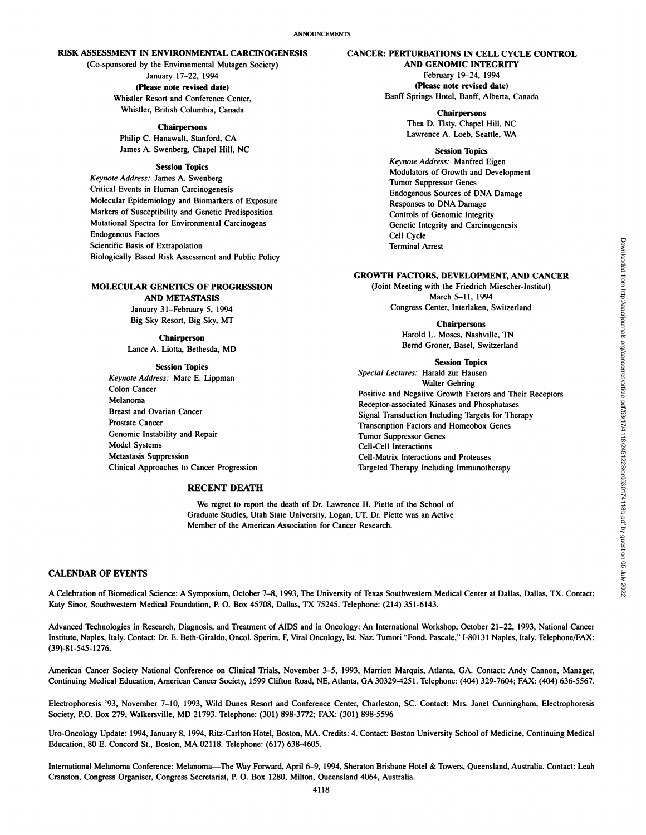# **RISK ASSESSMENT IN ENVIRONMENTAL CARCINOGENESIS**

(Co-sponsored by the Environmental Mutagen Society) **January 17-22, 1994 (Please note revised date)** Whistler Resort and Conference Center, Whistler, British Columbia, Canada

> **Chairpersons** Philip C. Hanawalt, Stanford, CA James A. Swenberg, Chapel Hill, NC

## **Session Topics**

*Keynote Address: James A. Swenberg* Critical Events in Human Carcinogenesis Molecular Epidemiology and Biomarkers of Exposure Markers of Susceptibility and Genetic Predisposition Mutational Spectra for Environmental Carcinogens Endogenous Factors Scientific Basis of Extrapolation Biologically Based Risk Assessment and Public Policy

# **MOLECULAR GENETICS OF PROGRESSION**

**AND METASTASIS** January 31-February 5,1994 Big Sky Resort, Big Sky, MT

### **Chairperson**

Lance A. Liotta, Bethesda. MD

#### **Session Topics**

*Keynote Address: Marc E. Lippman* Colon Cancer Melanoma Breast and Ovarian Cancer Prostate Cancer Genomic Instability and Repair Model Systems Metastasis Suppression Clinical Approaches to Cancer Progression

### **RECENT DEATH**

We regret to report the death of Dr. Lawrence H. Piette of the School of Graduate Studies, Utah State University, Logan, UT. Dr. Piette was an Active Member of the American Association for Cancer Research.

## **CALENDAR OF EVENTS**

A Celebration of Biomedicai Science: A Symposium, October 7-8, 1993, The University of Texas Southwestern Medical Center at Dallas, Dallas, TX. Contact: Katy Sinor, Southwestern Medical Foundation, P. O. Box 45708, Dallas, TX 75245. Telephone: (214) 351-6143.

Advanced Technologies in Research, Diagnosis, and Treatment of AIDS and in Oncology: An International Workshop. October 21-22, 1993, National Cancer Institute, Naples, Italy. Contact: Dr. E. Bcth-Giraldo, Oncol. Sperim. F, Viral Oncology, 1st. Naz. Tumori "Fond. Pascale," 1-80131 Naples, Italy. Telephone/FAX: (39)-81-545-1276.

American Cancer Society National Conference on Clinical Trials, November 3-5, 1993, Marriott Marquis, Atlanta, GA. Contact: Andy Cannon, Manager, Continuing Medical Education, American Cancer Society, 1599 Clifton Road, NE, Atlanta, GA 30329-4251. Telephone: (404) 329-7604; FAX: (404) 636-5567.

Electrophoresis "93, November 7-10, 1993, Wild Dunes Resort and Conference Center, Charleston, SC. Contact: Mrs. Janet Cunningham. Electrophoresis Society, P.O. Box 279, Walkersville, MD 21793. Telephone: (301) 898-3772; FAX: (301) 898-5596

Uro-Oncology Update: 1994, January 8. 1994, Ritz-Carlton Hotel, Boston, MA. Credits: 4. Contact: Boston University School of Medicine, Continuing Medical Education, 80 E. Concord St., Boston, MA 02118. Telephone: (617) 638-4605.

International Melanoma Conference: Melanoma—The Way Forward, April 6-9, 1994, Sheraton Brisbane Hotel & Towers, Queensland, Australia. Contact: Leah Cranston, Congress Organiser, Congress Secretariat, P. 0. Box 1280, Milton, Queensland 4064, Australia.

**AND GENOMIC INTEGRITY** February 19-24, 1994 **(Please note revised date)** Banff Springs Hotel, Banff, Alberta, Canada

**CANCER: PERTURBATIONS IN CELL CYCLE CONTROL**

**Chairpersons** Thea D. Tlsty, Chapel Hill, NC Lawrence A. Loeb, Seattle, WA

### **Session Topics**

*Keynote Address: Manfred Eigen* Modulators of Growth and Development Tumor Suppressor Genes Endogenous Sources of DNA Damage Responses to DNA Damage Controls of Genomic Integrity Genetic Integrity and Carcinogenesis Cell Cycle Terminal Arrest

#### **GROWTH FACTORS, DEVELOPMENT, AND CANCER**

(Joint Meeting with the Friedrich Miescher-Institul) March 5-11, 1994 Congress Center, Interlaken, Switzerland

> **Chairpersons** Harold L. Moses, Nashville, TN Bernd Groner, Basel, Switzerland

**Session Topics** *Special Lectures: Harald zur Hausen* Walter Gehring Positive and Negative Growth Factors and Their Receptors Receptor-associated Kinases and Phosphatases Signal Transduction Including Targets for Therapy Transcription Factors and Homeobox Genes Tumor Suppressor Genes Cell-Cell Interactions Cell-Matrix Interactions and Proteases Targeted Therapy Including Immunotherapy